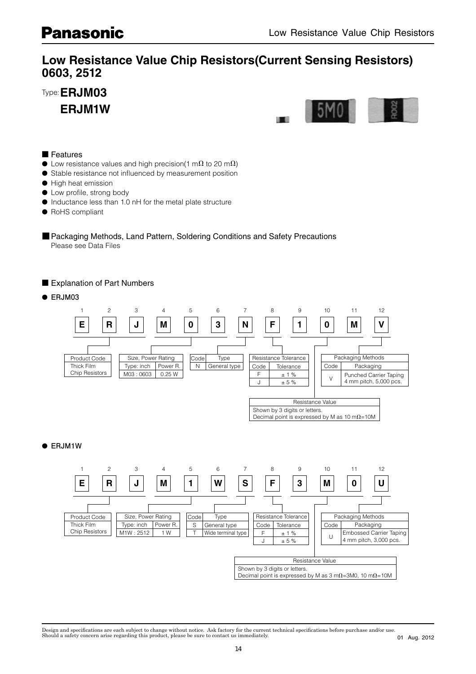# **Low Resistance Value Chip Resistors(Current Sensing Resistors)**

-----,<br>--- ----Type: **ERJM03**

 **ERJM1W**



#### ■ Features

- $\bullet$  Low resistance values and high precision(1 m $\Omega$  to 20 m $\Omega$ )
- Stable resistance not influenced by measurement position
- High heat emission
- $\bullet$  Low profile, strong body
- Inductance less than 1.0 nH for the metal plate structure
- RoHS compliant

■ Packaging Methods, Land Pattern, Soldering Conditions and Safety Precautions Please see Data Files

■ Explanation of Part Numbers

● **ERJM03**



### ● **ERJM1W**



Design and specifications are each subject to change without notice. Ask factory for the current technical specifications before purchase and/or use.<br>Should a safety concern arise regarding this product, please be sure to